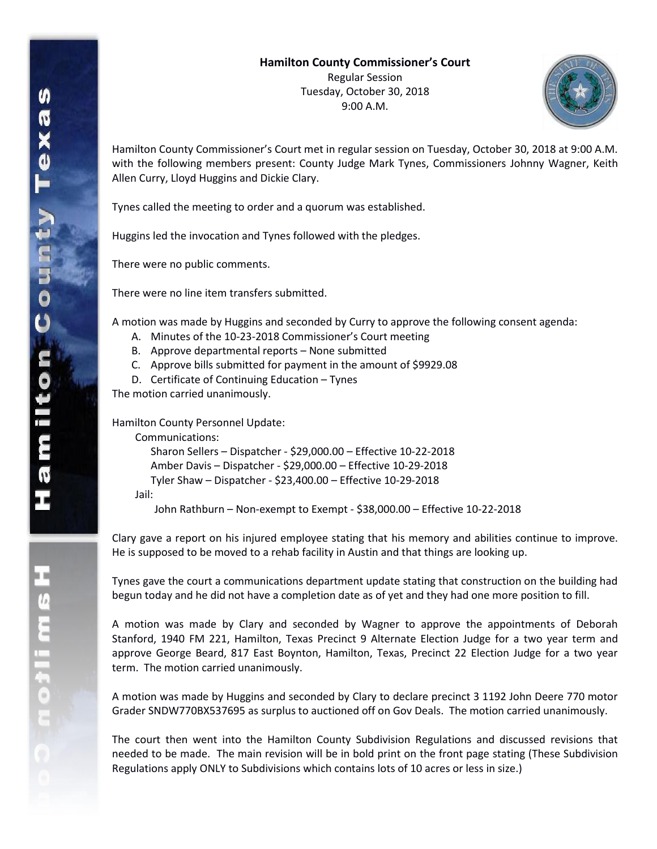9:00 A.M.



Hamilton County Commissioner's Court met in regular session on Tuesday, October 30, 2018 at 9:00 A.M. with the following members present: County Judge Mark Tynes, Commissioners Johnny Wagner, Keith Allen Curry, Lloyd Huggins and Dickie Clary.

Tynes called the meeting to order and a quorum was established.

Huggins led the invocation and Tynes followed with the pledges.

There were no public comments.

There were no line item transfers submitted.

A motion was made by Huggins and seconded by Curry to approve the following consent agenda:

- A. Minutes of the 10-23-2018 Commissioner's Court meeting
- B. Approve departmental reports None submitted
- C. Approve bills submitted for payment in the amount of \$9929.08
- D. Certificate of Continuing Education Tynes

The motion carried unanimously.

Hamilton County Personnel Update:

Communications:

Sharon Sellers – Dispatcher - \$29,000.00 – Effective 10-22-2018 Amber Davis – Dispatcher - \$29,000.00 – Effective 10-29-2018 Tyler Shaw – Dispatcher - \$23,400.00 – Effective 10-29-2018 Jail: John Rathburn – Non-exempt to Exempt - \$38,000.00 – Effective 10-22-2018

Clary gave a report on his injured employee stating that his memory and abilities continue to improve. He is supposed to be moved to a rehab facility in Austin and that things are looking up.

Tynes gave the court a communications department update stating that construction on the building had begun today and he did not have a completion date as of yet and they had one more position to fill.

A motion was made by Clary and seconded by Wagner to approve the appointments of Deborah Stanford, 1940 FM 221, Hamilton, Texas Precinct 9 Alternate Election Judge for a two year term and approve George Beard, 817 East Boynton, Hamilton, Texas, Precinct 22 Election Judge for a two year term. The motion carried unanimously.

A motion was made by Huggins and seconded by Clary to declare precinct 3 1192 John Deere 770 motor Grader SNDW770BX537695 as surplus to auctioned off on Gov Deals. The motion carried unanimously.

The court then went into the Hamilton County Subdivision Regulations and discussed revisions that needed to be made. The main revision will be in bold print on the front page stating (These Subdivision Regulations apply ONLY to Subdivisions which contains lots of 10 acres or less in size.)